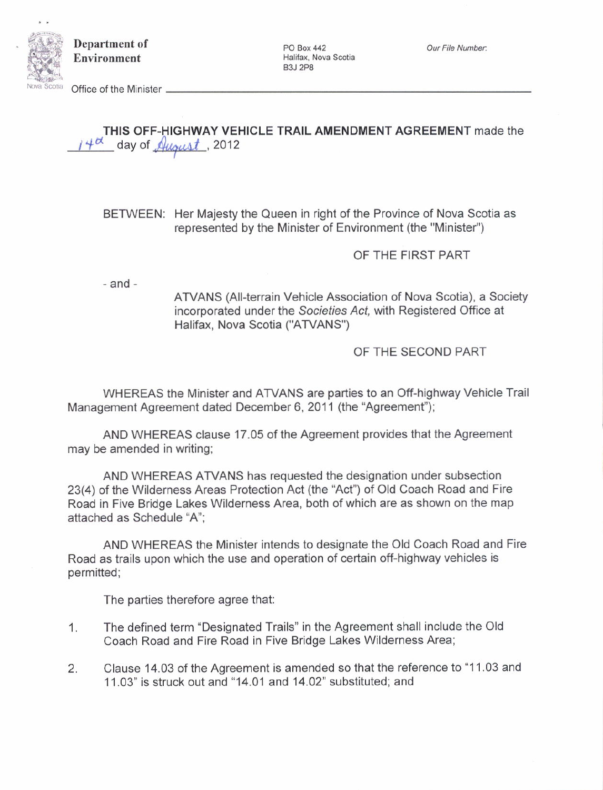

Department of Environment

PO Box 442<br>Halifax, Nova Scotia B3J 2P8

Office of the Minister  $\,-$ 

THIS OFF-HIGHWAY VEHICLE TRAIL AMENDMENT AGREEMENT made the  $4<sup>d</sup>$  day of  $\mathcal{A}$ ugust, 2012

BETWEEN: Her Majesty the Queen in right of the Province of Nova Scotia as represented by the Minister of Environment (the "Minister")

OF THE FIRST PART

 $-$ and $-$ 

ATVANS (All-terrain Vehicle Association of Nova Scotia), a Society incorporated under the Societies Act, with Registered Office at Halifax, Nova Scotia ("ATVANS")

OF THE SECOND PART

WHEREAS the Minister and ATVANS are parties to an Off-highway Vehicle Trail Management Agreement dated December 6, 2011 (the "Agreement");

AND WHEREAS clause 17.05 of the Agreement provides that the Agreement may be amended in writing;

AND WHEREAS ATVANS has requested the designation under subsection 23(4) of the Wilderness Areas Protection Act (the "Act") of Old Coach Road and Fire Road in Five Bridge Lakes Wilderness Area, both of which are as shown on the map attached as Schedule "A":

AND WHEREAS the Minister intends to designate the Old Coach Road and Fire Road as trails upon which the use and operation of certain off-highway vehicles is permitted;

The parties therefore agree that:

- 1. The defined term "Designated Trails" in the Agreement shall include the Old coach Road and Fire Road in Five Bridge Lakes Wilderness Area;
- 2. Clause 14.03 of the Agreement is amended so that the reference to "11.03 and 11.03" is struck out and "14.01 and 14.02" substituted; and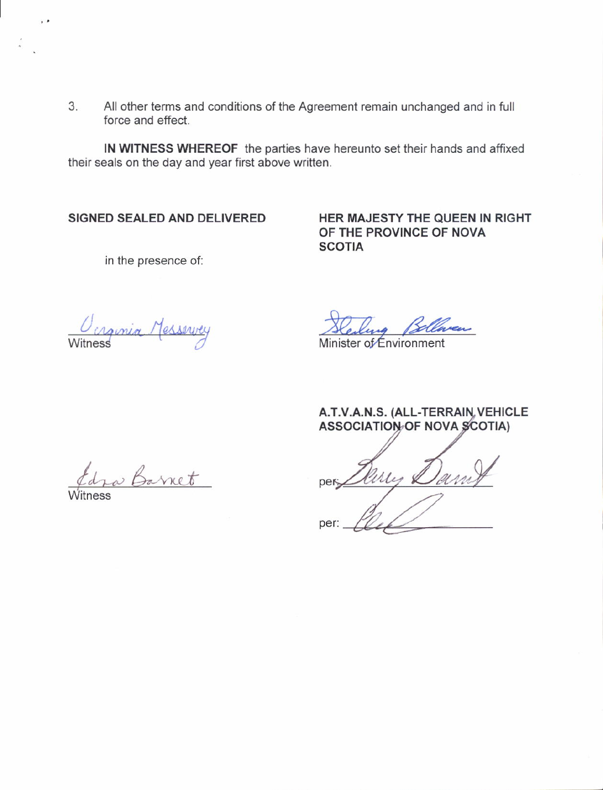3. All other terms and conditions of the Agreement remain unchanged and in full force and effect.

IN WITNESS WHEREOF the parties have hereunto set their hands and affixed their seals on the day and year first above written.

## SIGNED SEALED AND DELIVERED

HER MAJESTY THE QUEEN IN RIGHT OF THE PROVINCE OF NOVA **SCOTIA** 

in the presence of:

Ocrginia Messervey

ia Bel Minister of Environment

A.T.V.A.N.S. (ALL-TERRAIN, VEHICLE **ASSOCIATION OF NOVA SCOTIA)** 

ures Dam per per

tra Barnet